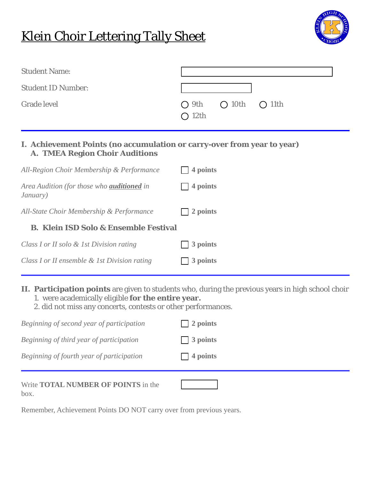## Klein Choir Lettering Tally Sheet



| <b>Student Name:</b>      |                                                |
|---------------------------|------------------------------------------------|
| <b>Student ID Number:</b> |                                                |
| <b>Grade level</b>        | $O$ 9th $O$ 10th $O$ 11th<br>O <sub>12th</sub> |

## **I. Achievement Points (no accumulation or carry-over from year to year) A. TMEA Region Choir Auditions**

| All-Region Choir Membership & Performance                     | 4 points           |
|---------------------------------------------------------------|--------------------|
| Area Audition (for those who <b>auditioned</b> in<br>January) | 4 points           |
| All-State Choir Membership & Performance                      | 2 points           |
| <b>B. Klein ISD Solo &amp; Ensemble Festival</b>              |                    |
| Class I or II solo & 1st Division rating                      | 3 points<br>$\sim$ |
| Class I or II ensemble & 1st Division rating                  | 3 points           |

## **II. Participation points** are given to students who, during the previous years in high school choir 1. were academically eligible **for the entire year.**

2. did not miss any concerts, contests or other performances.

| Beginning of second year of participation          | $\Box$ 2 points |
|----------------------------------------------------|-----------------|
| Beginning of third year of participation           | $\Box$ 3 points |
| Beginning of fourth year of participation          | $\Box$ 4 points |
| Write <b>TOTAL NUMBER OF POINTS</b> in the<br>box. |                 |

Remember, Achievement Points DO NOT carry over from previous years.